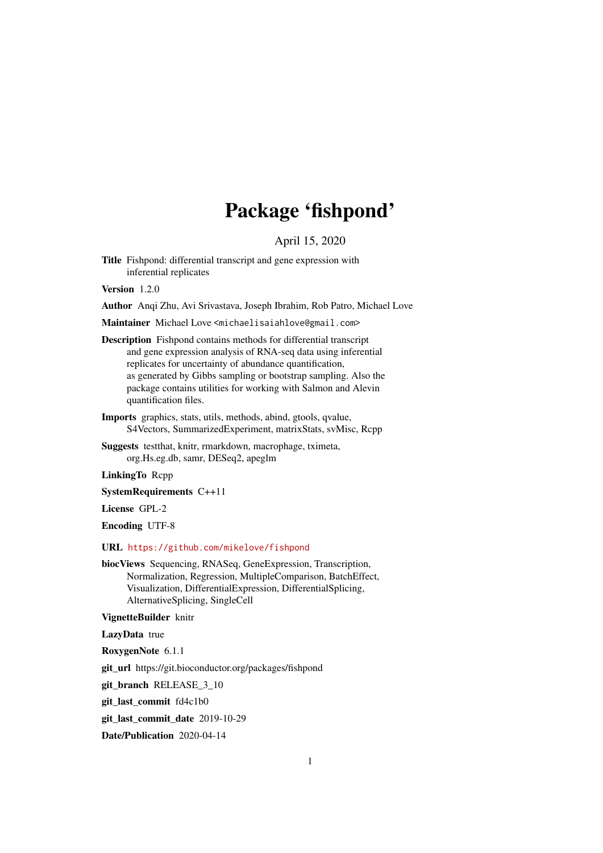## Package 'fishpond'

April 15, 2020

Title Fishpond: differential transcript and gene expression with inferential replicates

Version 1.2.0

Author Anqi Zhu, Avi Srivastava, Joseph Ibrahim, Rob Patro, Michael Love

Maintainer Michael Love <michaelisaiahlove@gmail.com>

Description Fishpond contains methods for differential transcript and gene expression analysis of RNA-seq data using inferential replicates for uncertainty of abundance quantification, as generated by Gibbs sampling or bootstrap sampling. Also the package contains utilities for working with Salmon and Alevin quantification files.

Imports graphics, stats, utils, methods, abind, gtools, qvalue, S4Vectors, SummarizedExperiment, matrixStats, svMisc, Rcpp

Suggests testthat, knitr, rmarkdown, macrophage, tximeta, org.Hs.eg.db, samr, DESeq2, apeglm

LinkingTo Rcpp

SystemRequirements C++11

License GPL-2

Encoding UTF-8

#### URL <https://github.com/mikelove/fishpond>

biocViews Sequencing, RNASeq, GeneExpression, Transcription, Normalization, Regression, MultipleComparison, BatchEffect, Visualization, DifferentialExpression, DifferentialSplicing, AlternativeSplicing, SingleCell

VignetteBuilder knitr

LazyData true

RoxygenNote 6.1.1

git\_url https://git.bioconductor.org/packages/fishpond

git\_branch RELEASE\_3\_10

git\_last\_commit fd4c1b0

git last commit date 2019-10-29

Date/Publication 2020-04-14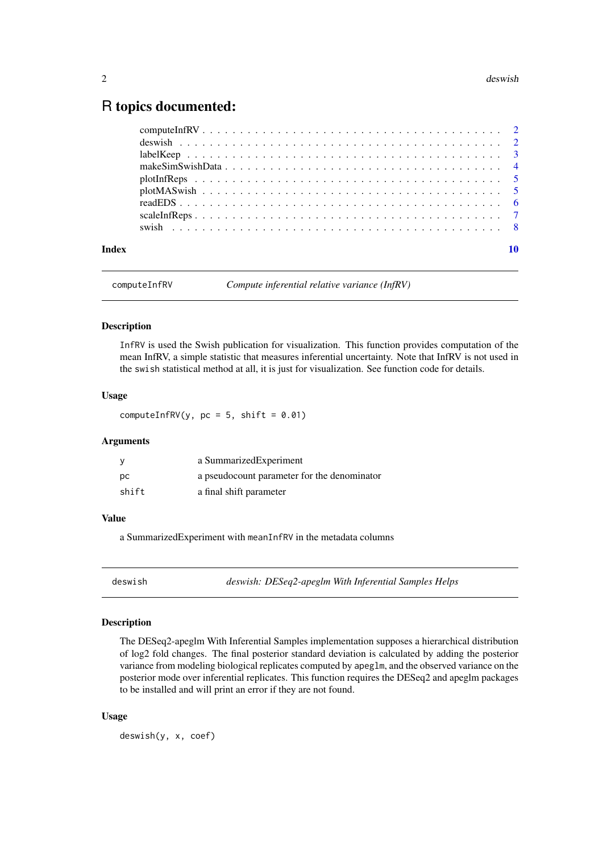### <span id="page-1-0"></span>R topics documented:

| Index |  |
|-------|--|
|       |  |
|       |  |
|       |  |
|       |  |
|       |  |
|       |  |
|       |  |
|       |  |
|       |  |

```
computeInfRV Compute inferential relative variance (InfRV)
```
#### Description

InfRV is used the Swish publication for visualization. This function provides computation of the mean InfRV, a simple statistic that measures inferential uncertainty. Note that InfRV is not used in the swish statistical method at all, it is just for visualization. See function code for details.

#### Usage

computeInfRV(y,  $pc = 5$ , shift = 0.01)

#### Arguments

| У     | a Summarized Experiment                     |
|-------|---------------------------------------------|
| рc    | a pseudocount parameter for the denominator |
| shift | a final shift parameter                     |

#### Value

a SummarizedExperiment with meanInfRV in the metadata columns

deswish *deswish: DESeq2-apeglm With Inferential Samples Helps*

#### Description

The DESeq2-apeglm With Inferential Samples implementation supposes a hierarchical distribution of log2 fold changes. The final posterior standard deviation is calculated by adding the posterior variance from modeling biological replicates computed by apeglm, and the observed variance on the posterior mode over inferential replicates. This function requires the DESeq2 and apeglm packages to be installed and will print an error if they are not found.

#### Usage

deswish(y, x, coef)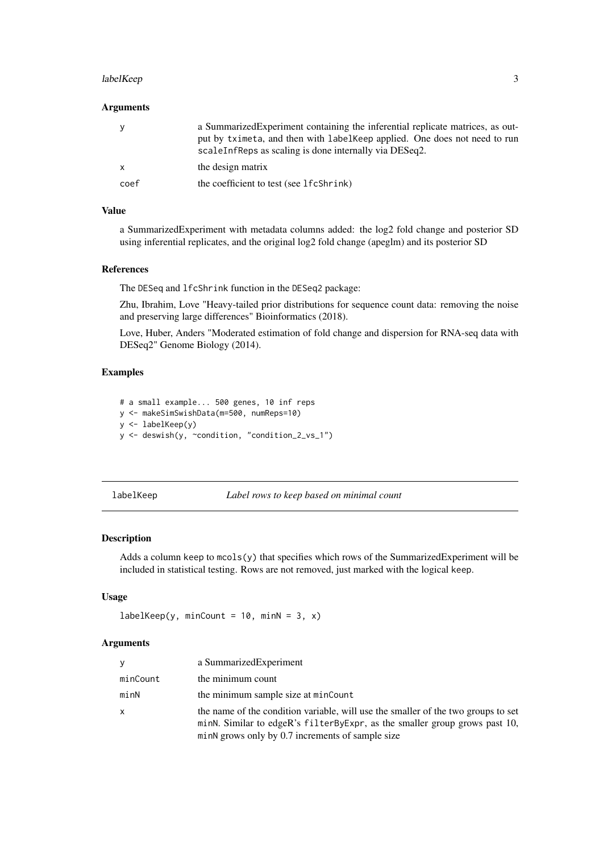#### <span id="page-2-0"></span>labelKeep 3

#### Arguments

| <b>V</b>     | a Summarized Experiment containing the inferential replicate matrices, as out-<br>put by tximeta, and then with label Keep applied. One does not need to run<br>scaleInfReps as scaling is done internally via DESeq2. |
|--------------|------------------------------------------------------------------------------------------------------------------------------------------------------------------------------------------------------------------------|
| $\mathsf{x}$ | the design matrix                                                                                                                                                                                                      |
| coef         | the coefficient to test (see 1 f c Shr ink)                                                                                                                                                                            |

#### Value

a SummarizedExperiment with metadata columns added: the log2 fold change and posterior SD using inferential replicates, and the original log2 fold change (apeglm) and its posterior SD

#### References

The DESeq and lfcShrink function in the DESeq2 package:

Zhu, Ibrahim, Love "Heavy-tailed prior distributions for sequence count data: removing the noise and preserving large differences" Bioinformatics (2018).

Love, Huber, Anders "Moderated estimation of fold change and dispersion for RNA-seq data with DESeq2" Genome Biology (2014).

#### Examples

```
# a small example... 500 genes, 10 inf reps
y <- makeSimSwishData(m=500, numReps=10)
y \leftarrow labelKeep(y)
y <- deswish(y, ~condition, "condition_2_vs_1")
```
labelKeep *Label rows to keep based on minimal count*

#### Description

Adds a column keep to  $m \text{cos}(y)$  that specifies which rows of the SummarizedExperiment will be included in statistical testing. Rows are not removed, just marked with the logical keep.

#### Usage

```
labelKeep(y, minCount = 10, minN = 3, x)
```
#### Arguments

| <b>V</b>     | a SummarizedExperiment                                                                                                                                                                                              |
|--------------|---------------------------------------------------------------------------------------------------------------------------------------------------------------------------------------------------------------------|
| minCount     | the minimum count                                                                                                                                                                                                   |
| minN         | the minimum sample size at minCount                                                                                                                                                                                 |
| $\mathsf{x}$ | the name of the condition variable, will use the smaller of the two groups to set<br>minN. Similar to edgeR's filterByExpr, as the smaller group grows past 10,<br>minN grows only by 0.7 increments of sample size |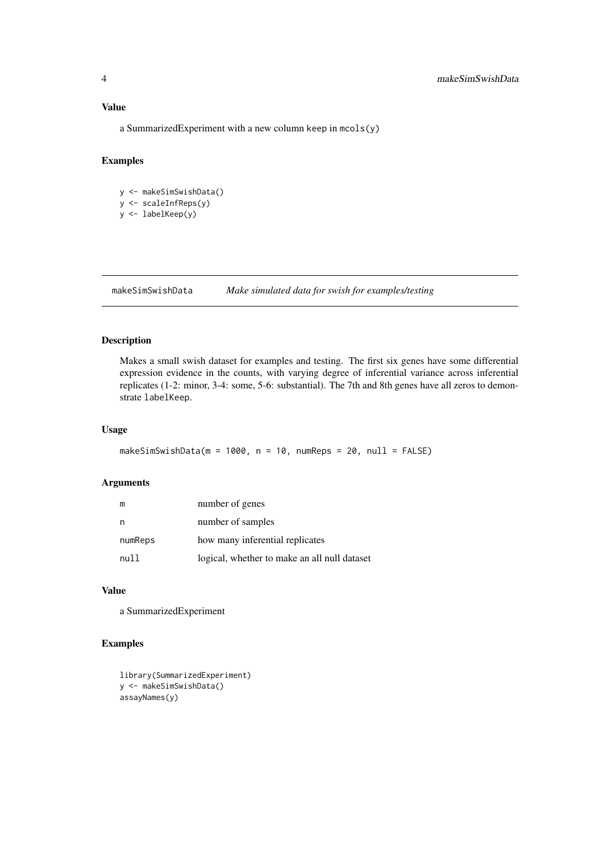#### <span id="page-3-0"></span>Value

a SummarizedExperiment with a new column keep in mcols(y)

#### Examples

y <- makeSimSwishData() y <- scaleInfReps(y) y <- labelKeep(y)

makeSimSwishData *Make simulated data for swish for examples/testing*

#### Description

Makes a small swish dataset for examples and testing. The first six genes have some differential expression evidence in the counts, with varying degree of inferential variance across inferential replicates (1-2: minor, 3-4: some, 5-6: substantial). The 7th and 8th genes have all zeros to demonstrate labelKeep.

#### Usage

```
makeSimSwishData(m = 1000, n = 10, numReps = 20, null = FALSE)
```
#### Arguments

| m       | number of genes                              |
|---------|----------------------------------------------|
| n       | number of samples                            |
| numReps | how many inferential replicates              |
| null    | logical, whether to make an all null dataset |

#### Value

a SummarizedExperiment

#### Examples

```
library(SummarizedExperiment)
y <- makeSimSwishData()
assayNames(y)
```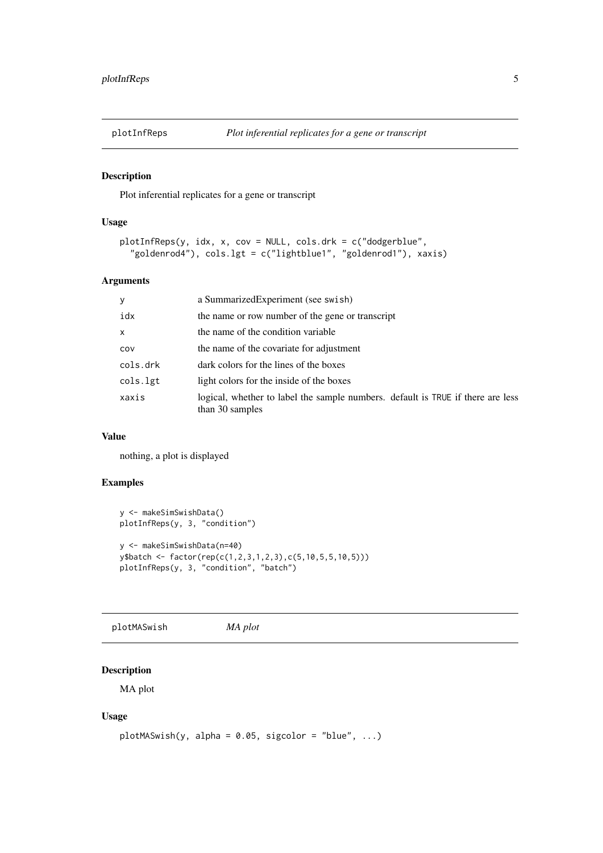<span id="page-4-0"></span>

#### Description

Plot inferential replicates for a gene or transcript

#### Usage

```
plotInfReps(y, idx, x, cov = NULL, cols.drk = c("dodgerblue",
  "goldenrod4"), cols.lgt = c("lightblue1", "goldenrod1"), xaxis)
```
#### Arguments

| У        | a Summarized Experiment (see swish)                                                                |
|----------|----------------------------------------------------------------------------------------------------|
| idx      | the name or row number of the gene or transcript                                                   |
| x        | the name of the condition variable                                                                 |
| COV      | the name of the covariate for adjustment                                                           |
| cols.drk | dark colors for the lines of the boxes                                                             |
| cols.lgt | light colors for the inside of the boxes                                                           |
| xaxis    | logical, whether to label the sample numbers. default is TRUE if there are less<br>than 30 samples |

#### Value

nothing, a plot is displayed

#### Examples

```
y <- makeSimSwishData()
plotInfReps(y, 3, "condition")
y <- makeSimSwishData(n=40)
y$batch <- factor(rep(c(1,2,3,1,2,3),c(5,10,5,5,10,5)))
plotInfReps(y, 3, "condition", "batch")
```
plotMASwish *MA plot*

#### Description

MA plot

#### Usage

```
plotMASwish(y, alpha = 0.05, sigcolor = "blue", ...)
```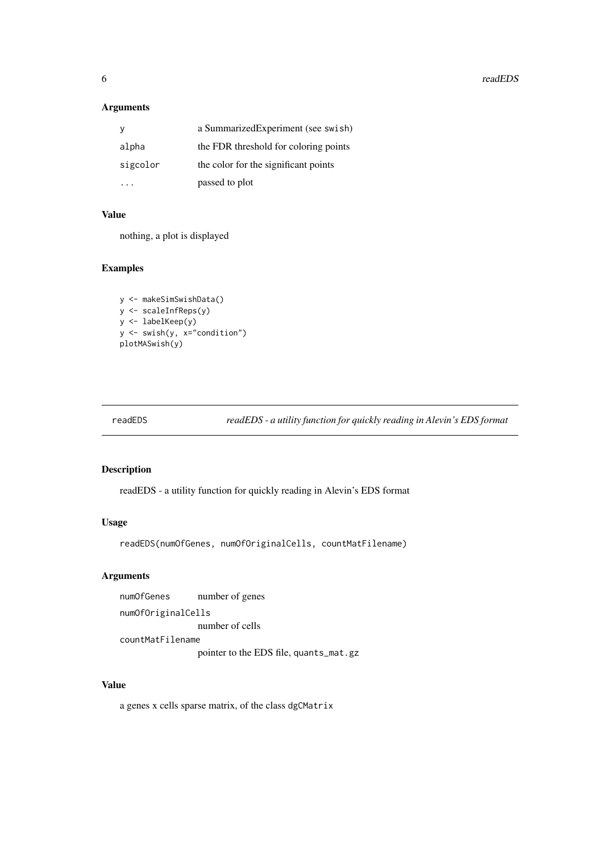**6** *readEDS* 

#### Arguments

|          | a Summarized Experiment (see swish)   |
|----------|---------------------------------------|
| alpha    | the FDR threshold for coloring points |
| sigcolor | the color for the significant points  |
|          | passed to plot                        |

#### Value

nothing, a plot is displayed

#### Examples

```
y <- makeSimSwishData()
y <- scaleInfReps(y)
y <- labelKeep(y)
y <- swish(y, x="condition")
plotMASwish(y)
```
readEDS *readEDS - a utility function for quickly reading in Alevin's EDS format*

#### Description

readEDS - a utility function for quickly reading in Alevin's EDS format

#### Usage

```
readEDS(numOfGenes, numOfOriginalCells, countMatFilename)
```
#### Arguments

numOfGenes number of genes numOfOriginalCells number of cells countMatFilename pointer to the EDS file, quants\_mat.gz

#### Value

a genes x cells sparse matrix, of the class dgCMatrix

<span id="page-5-0"></span>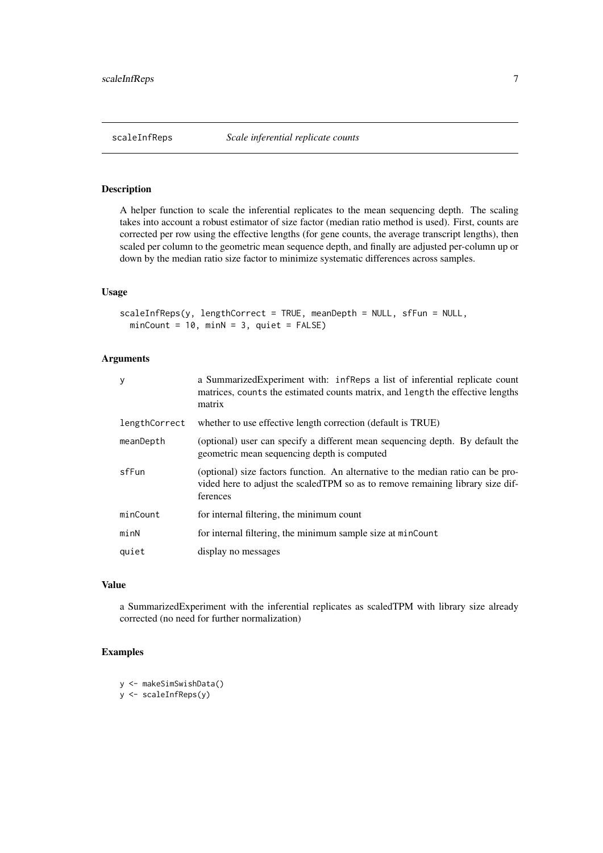<span id="page-6-0"></span>

#### Description

A helper function to scale the inferential replicates to the mean sequencing depth. The scaling takes into account a robust estimator of size factor (median ratio method is used). First, counts are corrected per row using the effective lengths (for gene counts, the average transcript lengths), then scaled per column to the geometric mean sequence depth, and finally are adjusted per-column up or down by the median ratio size factor to minimize systematic differences across samples.

#### Usage

```
scaleInfReps(y, lengthCorrect = TRUE, meanDepth = NULL, sfFun = NULL,
 minCount = 10, minN = 3, quiet = FALSE)
```
#### Arguments

| У             | a Summarized Experiment with: infreeps a list of inferential replicate count<br>matrices, counts the estimated counts matrix, and length the effective lengths<br>matrix        |
|---------------|---------------------------------------------------------------------------------------------------------------------------------------------------------------------------------|
| lengthCorrect | whether to use effective length correction (default is TRUE)                                                                                                                    |
| meanDepth     | (optional) user can specify a different mean sequencing depth. By default the<br>geometric mean sequencing depth is computed                                                    |
| sfFun         | (optional) size factors function. An alternative to the median ratio can be pro-<br>vided here to adjust the scaled TPM so as to remove remaining library size dif-<br>ferences |
| minCount      | for internal filtering, the minimum count                                                                                                                                       |
| minN          | for internal filtering, the minimum sample size at minCount                                                                                                                     |
| quiet         | display no messages                                                                                                                                                             |

#### Value

a SummarizedExperiment with the inferential replicates as scaledTPM with library size already corrected (no need for further normalization)

#### Examples

```
y <- makeSimSwishData()
```
y <- scaleInfReps(y)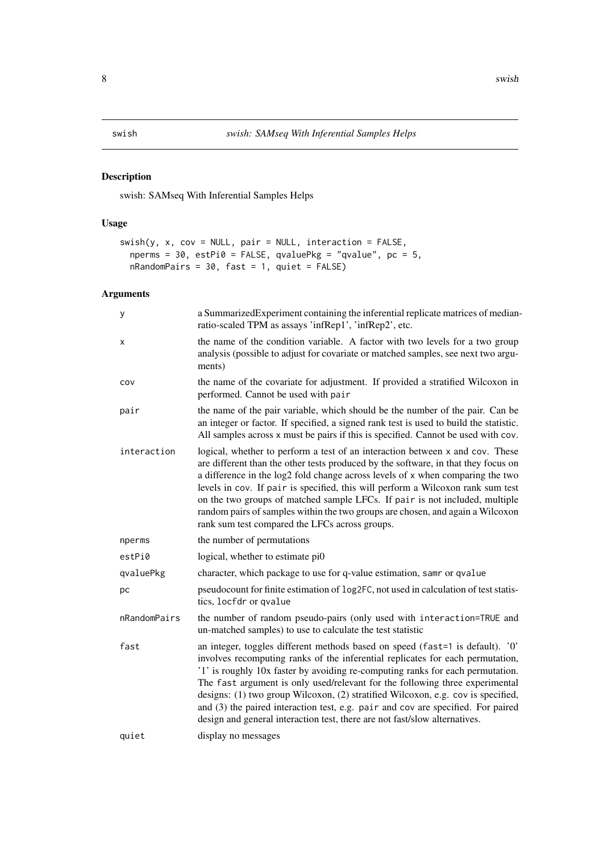<span id="page-7-0"></span>

#### Description

swish: SAMseq With Inferential Samples Helps

#### Usage

```
s wish(y, x, cov = NULL, pair = NULL, interaction = FALSE,nperms = 30, estPi0 = FALSE, qvaluePkg = "qvalue", pc = 5,
  nRandomPairs = 30, fast = 1, quiet = FALSE)
```
#### Arguments

| y            | a SummarizedExperiment containing the inferential replicate matrices of median-<br>ratio-scaled TPM as assays 'infRep1', 'infRep2', etc.                                                                                                                                                                                                                                                                                                                                                                                                                                                |
|--------------|-----------------------------------------------------------------------------------------------------------------------------------------------------------------------------------------------------------------------------------------------------------------------------------------------------------------------------------------------------------------------------------------------------------------------------------------------------------------------------------------------------------------------------------------------------------------------------------------|
| х            | the name of the condition variable. A factor with two levels for a two group<br>analysis (possible to adjust for covariate or matched samples, see next two argu-<br>ments)                                                                                                                                                                                                                                                                                                                                                                                                             |
| COV          | the name of the covariate for adjustment. If provided a stratified Wilcoxon in<br>performed. Cannot be used with pair                                                                                                                                                                                                                                                                                                                                                                                                                                                                   |
| pair         | the name of the pair variable, which should be the number of the pair. Can be<br>an integer or factor. If specified, a signed rank test is used to build the statistic.<br>All samples across x must be pairs if this is specified. Cannot be used with cov.                                                                                                                                                                                                                                                                                                                            |
| interaction  | logical, whether to perform a test of an interaction between x and cov. These<br>are different than the other tests produced by the software, in that they focus on<br>a difference in the log2 fold change across levels of x when comparing the two<br>levels in cov. If pair is specified, this will perform a Wilcoxon rank sum test<br>on the two groups of matched sample LFCs. If pair is not included, multiple<br>random pairs of samples within the two groups are chosen, and again a Wilcoxon<br>rank sum test compared the LFCs across groups.                             |
| nperms       | the number of permutations                                                                                                                                                                                                                                                                                                                                                                                                                                                                                                                                                              |
| estPi0       | logical, whether to estimate pi0                                                                                                                                                                                                                                                                                                                                                                                                                                                                                                                                                        |
| qvaluePkg    | character, which package to use for q-value estimation, samr or qvalue                                                                                                                                                                                                                                                                                                                                                                                                                                                                                                                  |
| рc           | pseudocount for finite estimation of log2FC, not used in calculation of test statis-<br>tics, locfdr or qvalue                                                                                                                                                                                                                                                                                                                                                                                                                                                                          |
| nRandomPairs | the number of random pseudo-pairs (only used with interaction=TRUE and<br>un-matched samples) to use to calculate the test statistic                                                                                                                                                                                                                                                                                                                                                                                                                                                    |
| fast         | an integer, toggles different methods based on speed (fast=1 is default). '0'<br>involves recomputing ranks of the inferential replicates for each permutation,<br>'1' is roughly 10x faster by avoiding re-computing ranks for each permutation.<br>The fast argument is only used/relevant for the following three experimental<br>designs: (1) two group Wilcoxon, (2) stratified Wilcoxon, e.g. cov is specified,<br>and (3) the paired interaction test, e.g. pair and cov are specified. For paired<br>design and general interaction test, there are not fast/slow alternatives. |
| quiet        | display no messages                                                                                                                                                                                                                                                                                                                                                                                                                                                                                                                                                                     |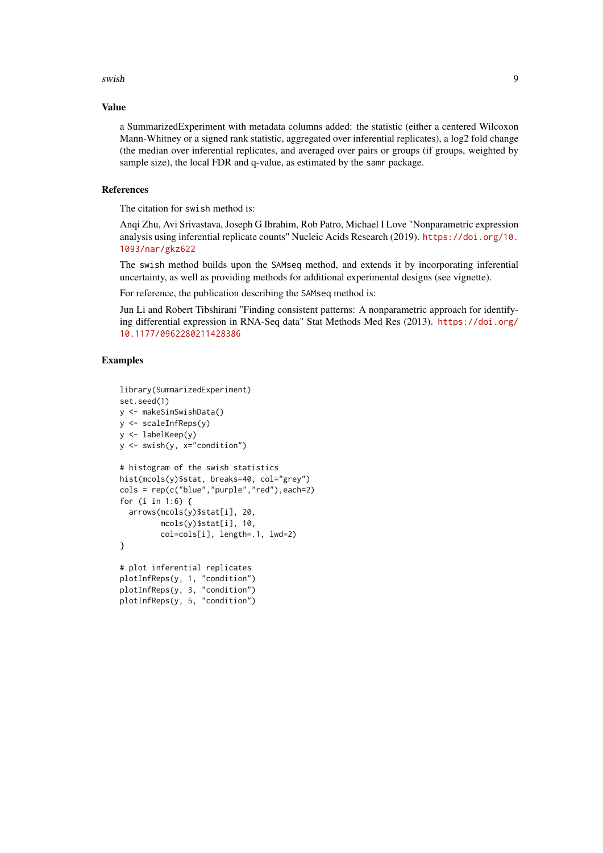swish 9

#### Value

a SummarizedExperiment with metadata columns added: the statistic (either a centered Wilcoxon Mann-Whitney or a signed rank statistic, aggregated over inferential replicates), a log2 fold change (the median over inferential replicates, and averaged over pairs or groups (if groups, weighted by sample size), the local FDR and q-value, as estimated by the samr package.

#### References

The citation for swish method is:

Anqi Zhu, Avi Srivastava, Joseph G Ibrahim, Rob Patro, Michael I Love "Nonparametric expression analysis using inferential replicate counts" Nucleic Acids Research (2019). [https://doi.org/10.](https://doi.org/10.1093/nar/gkz622) [1093/nar/gkz622](https://doi.org/10.1093/nar/gkz622)

The swish method builds upon the SAMseq method, and extends it by incorporating inferential uncertainty, as well as providing methods for additional experimental designs (see vignette).

For reference, the publication describing the SAMseq method is:

Jun Li and Robert Tibshirani "Finding consistent patterns: A nonparametric approach for identifying differential expression in RNA-Seq data" Stat Methods Med Res (2013). [https://doi.org/](https://doi.org/10.1177/0962280211428386) [10.1177/0962280211428386](https://doi.org/10.1177/0962280211428386)

#### Examples

```
library(SummarizedExperiment)
set.seed(1)
y <- makeSimSwishData()
y <- scaleInfReps(y)
y <- labelKeep(y)
y <- swish(y, x="condition")
# histogram of the swish statistics
hist(mcols(y)$stat, breaks=40, col="grey")
cols = rep(c("blue","purple","red"),each=2)
for (i in 1:6) {
  arrows(mcols(y)$stat[i], 20,
         mcols(y)$stat[i], 10,
         col=cols[i], length=.1, lwd=2)
}
# plot inferential replicates
plotInfReps(y, 1, "condition")
plotInfReps(y, 3, "condition")
plotInfReps(y, 5, "condition")
```